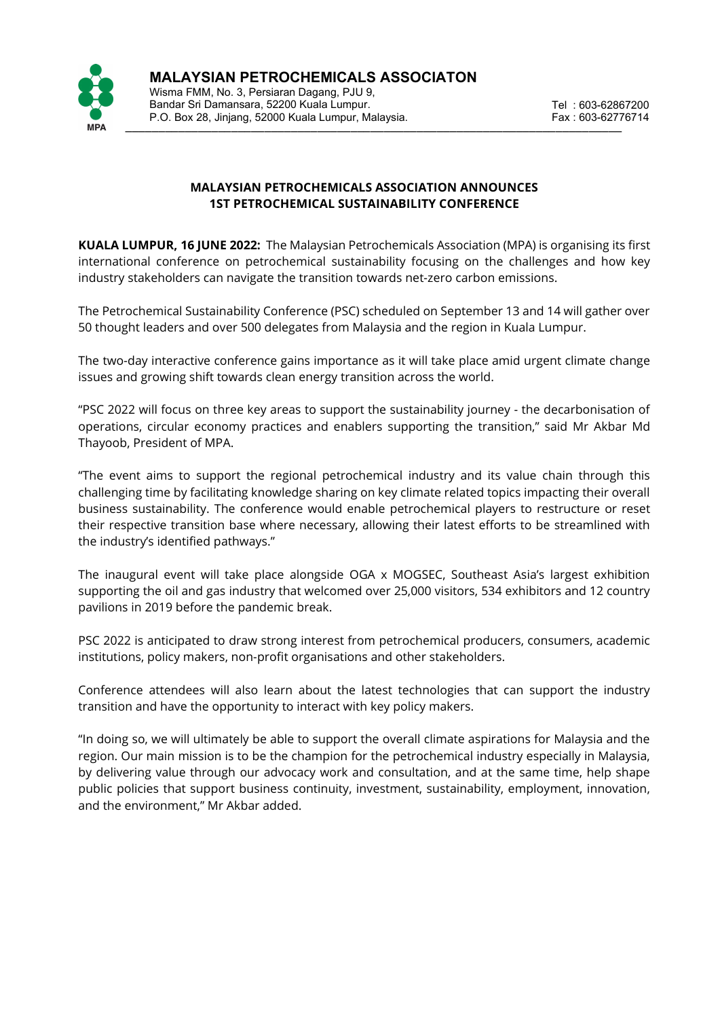

 \_\_\_\_\_\_\_\_\_\_\_\_\_\_\_\_\_\_\_\_\_\_\_\_\_\_\_\_\_\_\_\_\_\_\_\_\_\_\_\_\_\_\_\_\_\_\_\_\_\_\_\_\_\_\_\_\_\_\_\_\_\_\_\_\_\_\_\_\_\_\_\_\_\_\_ Wisma FMM, No. 3, Persiaran Dagang, PJU 9, Bandar Sri Damansara, 52200 Kuala Lumpur. P.O. Box 28, Jinjang, 52000 Kuala Lumpur, Malaysia.

# **MALAYSIAN PETROCHEMICALS ASSOCIATION ANNOUNCES 1ST PETROCHEMICAL SUSTAINABILITY CONFERENCE**

**KUALA LUMPUR, 16 JUNE 2022:** The Malaysian Petrochemicals Association (MPA) is organising its first international conference on petrochemical sustainability focusing on the challenges and how key industry stakeholders can navigate the transition towards net-zero carbon emissions.

The Petrochemical Sustainability Conference (PSC) scheduled on September 13 and 14 will gather over 50 thought leaders and over 500 delegates from Malaysia and the region in Kuala Lumpur.

The two-day interactive conference gains importance as it will take place amid urgent climate change issues and growing shift towards clean energy transition across the world.

"PSC 2022 will focus on three key areas to support the sustainability journey - the decarbonisation of operations, circular economy practices and enablers supporting the transition," said Mr Akbar Md Thayoob, President of MPA.

"The event aims to support the regional petrochemical industry and its value chain through this challenging time by facilitating knowledge sharing on key climate related topics impacting their overall business sustainability. The conference would enable petrochemical players to restructure or reset their respective transition base where necessary, allowing their latest efforts to be streamlined with the industry's identified pathways."

The inaugural event will take place alongside OGA x MOGSEC, Southeast Asia's largest exhibition supporting the oil and gas industry that welcomed over 25,000 visitors, 534 exhibitors and 12 country pavilions in 2019 before the pandemic break.

PSC 2022 is anticipated to draw strong interest from petrochemical producers, consumers, academic institutions, policy makers, non-profit organisations and other stakeholders.

Conference attendees will also learn about the latest technologies that can support the industry transition and have the opportunity to interact with key policy makers.

"In doing so, we will ultimately be able to support the overall climate aspirations for Malaysia and the region. Our main mission is to be the champion for the petrochemical industry especially in Malaysia, by delivering value through our advocacy work and consultation, and at the same time, help shape public policies that support business continuity, investment, sustainability, employment, innovation, and the environment," Mr Akbar added.